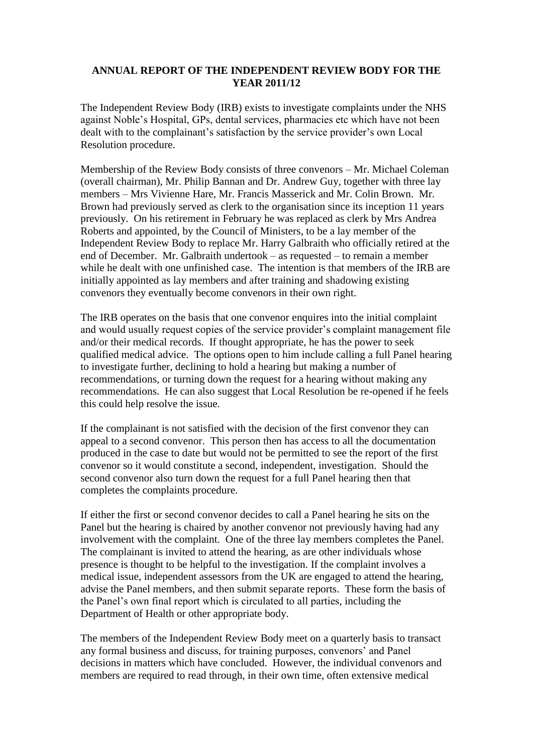## **ANNUAL REPORT OF THE INDEPENDENT REVIEW BODY FOR THE YEAR 2011/12**

The Independent Review Body (IRB) exists to investigate complaints under the NHS against Noble's Hospital, GPs, dental services, pharmacies etc which have not been dealt with to the complainant's satisfaction by the service provider's own Local Resolution procedure.

Membership of the Review Body consists of three convenors – Mr. Michael Coleman (overall chairman), Mr. Philip Bannan and Dr. Andrew Guy, together with three lay members – Mrs Vivienne Hare, Mr. Francis Masserick and Mr. Colin Brown. Mr. Brown had previously served as clerk to the organisation since its inception 11 years previously. On his retirement in February he was replaced as clerk by Mrs Andrea Roberts and appointed, by the Council of Ministers, to be a lay member of the Independent Review Body to replace Mr. Harry Galbraith who officially retired at the end of December. Mr. Galbraith undertook – as requested – to remain a member while he dealt with one unfinished case. The intention is that members of the IRB are initially appointed as lay members and after training and shadowing existing convenors they eventually become convenors in their own right.

The IRB operates on the basis that one convenor enquires into the initial complaint and would usually request copies of the service provider's complaint management file and/or their medical records. If thought appropriate, he has the power to seek qualified medical advice. The options open to him include calling a full Panel hearing to investigate further, declining to hold a hearing but making a number of recommendations, or turning down the request for a hearing without making any recommendations. He can also suggest that Local Resolution be re-opened if he feels this could help resolve the issue.

If the complainant is not satisfied with the decision of the first convenor they can appeal to a second convenor. This person then has access to all the documentation produced in the case to date but would not be permitted to see the report of the first convenor so it would constitute a second, independent, investigation. Should the second convenor also turn down the request for a full Panel hearing then that completes the complaints procedure.

If either the first or second convenor decides to call a Panel hearing he sits on the Panel but the hearing is chaired by another convenor not previously having had any involvement with the complaint. One of the three lay members completes the Panel. The complainant is invited to attend the hearing, as are other individuals whose presence is thought to be helpful to the investigation. If the complaint involves a medical issue, independent assessors from the UK are engaged to attend the hearing, advise the Panel members, and then submit separate reports. These form the basis of the Panel's own final report which is circulated to all parties, including the Department of Health or other appropriate body.

The members of the Independent Review Body meet on a quarterly basis to transact any formal business and discuss, for training purposes, convenors' and Panel decisions in matters which have concluded. However, the individual convenors and members are required to read through, in their own time, often extensive medical